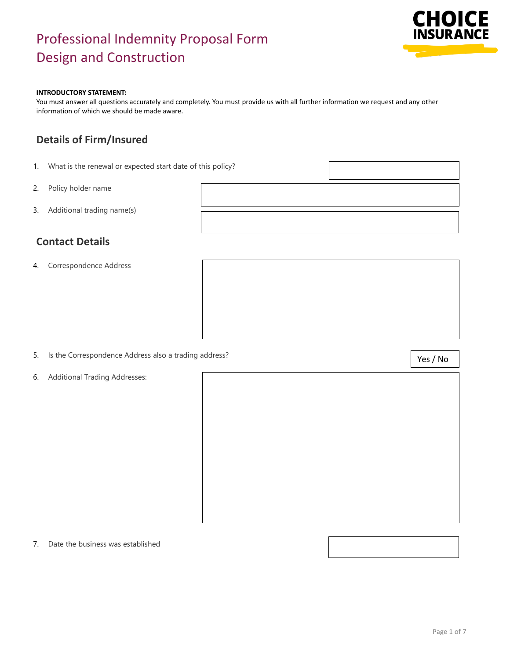

#### **INTRODUCTORY STATEMENT:**

You must answer all questions accurately and completely. You must provide us with all further information we request and any other information of which we should be made aware.

### **Details of Firm/Insured**

- 1. What is the renewal or expected start date of this policy?
- 2. Policy holder name
- 3. Additional trading name(s)

### **Contact Details**

4. Correspondence Address

- 5. Is the Correspondence Address also a trading address?
- 6. Additional Trading Addresses:

7. Date the business was established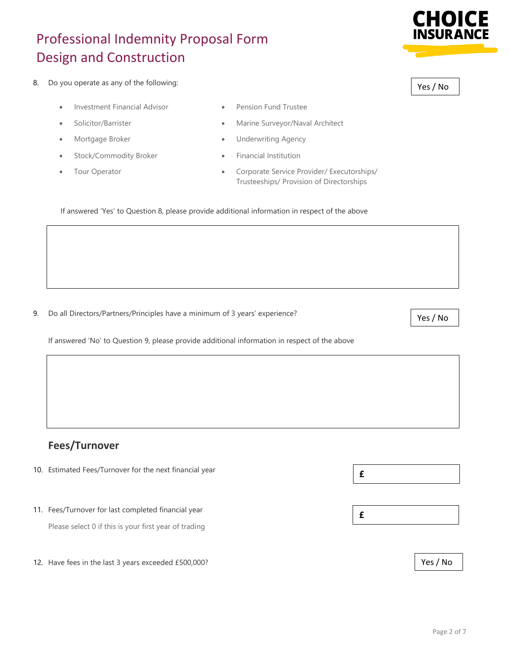

- Investment Financial Advisor **•** Pension Fund Trustee
- 
- 
- Stock/Commodity Broker Financial Institution
- 
- 
- Solicitor/Barrister Marine Surveyor/Naval Architect
- Mortgage Broker 1999 Underwriting Agency
	-
	- Tour Operator Corporate Service Provider/ Executorships/ Trusteeships/ Provision of Directorships

If answered 'Yes' to Question 8, please provide additional information in respect of the above

9. Do all Directors/Partners/Principles have a minimum of 3 years' experience?

If answered 'No' to Question 9, please provide additional information in respect of the above

### **Fees/Turnover**

- 10. Estimated Fees/Turnover for the next financial year
- 11. Fees/Turnover for last completed financial year Please select 0 if this is your first year of trading
- 12. Have fees in the last 3 years exceeded £500,000?







Yes / No

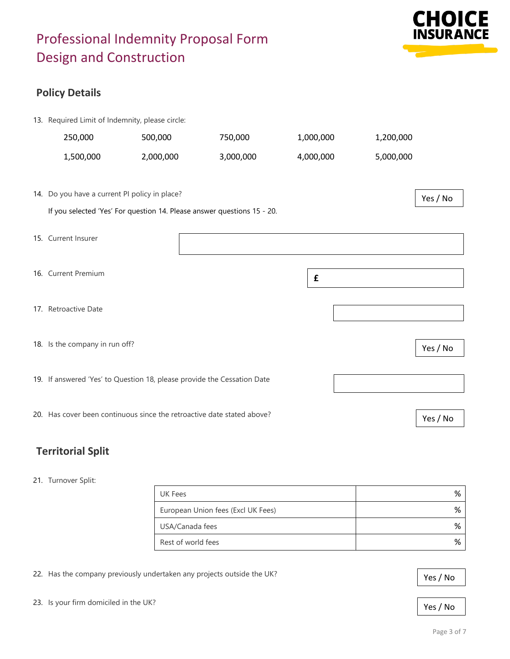

## **Policy Details**

| 13. Required Limit of Indemnity, please circle:                         |           |           |                    |           |          |
|-------------------------------------------------------------------------|-----------|-----------|--------------------|-----------|----------|
| 250,000                                                                 | 500,000   | 750,000   | 1,000,000          | 1,200,000 |          |
| 1,500,000                                                               | 2,000,000 | 3,000,000 | 4,000,000          | 5,000,000 |          |
|                                                                         |           |           |                    |           |          |
| 14. Do you have a current PI policy in place?                           |           |           |                    |           | Yes / No |
| If you selected 'Yes' For question 14. Please answer questions 15 - 20. |           |           |                    |           |          |
| 15. Current Insurer                                                     |           |           |                    |           |          |
|                                                                         |           |           |                    |           |          |
| 16. Current Premium                                                     |           |           |                    |           |          |
|                                                                         |           |           | $\pmb{\mathsf{f}}$ |           |          |
| 17. Retroactive Date                                                    |           |           |                    |           |          |
|                                                                         |           |           |                    |           |          |
| 18. Is the company in run off?                                          |           |           |                    |           | Yes / No |
|                                                                         |           |           |                    |           |          |
| 19. If answered 'Yes' to Question 18, please provide the Cessation Date |           |           |                    |           |          |
|                                                                         |           |           |                    |           |          |
| 20. Has cover been continuous since the retroactive date stated above?  |           |           |                    |           | Yes / No |
|                                                                         |           |           |                    |           |          |

## **Territorial Split**

#### 21. Turnover Split:

| UK Fees                            | % |
|------------------------------------|---|
|                                    |   |
| European Union fees (Excl UK Fees) | % |
| USA/Canada fees                    | % |
| Rest of world fees                 | % |

22. Has the company previously undertaken any projects outside the UK?

23. Is your firm domiciled in the UK?

Yes / No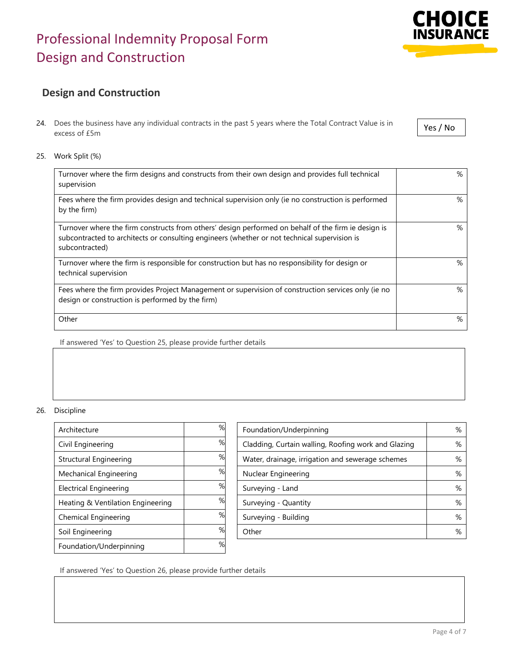## **Design and Construction**

- 24. Does the business have any individual contracts in the past 5 years where the Total Contract Value is in excess of £5m
- 25. Work Split (%)

| Turnover where the firm designs and constructs from their own design and provides full technical<br>supervision                                                                                                       | % |
|-----------------------------------------------------------------------------------------------------------------------------------------------------------------------------------------------------------------------|---|
| Fees where the firm provides design and technical supervision only (ie no construction is performed<br>by the firm)                                                                                                   | % |
| Turnover where the firm constructs from others' design performed on behalf of the firm ie design is<br>subcontracted to architects or consulting engineers (whether or not technical supervision is<br>subcontracted) | % |
| Turnover where the firm is responsible for construction but has no responsibility for design or<br>technical supervision                                                                                              | % |
| Fees where the firm provides Project Management or supervision of construction services only (ie no<br>design or construction is performed by the firm)                                                               | % |
| Other                                                                                                                                                                                                                 | % |

If answered 'Yes' to Question 25, please provide further details

#### 26. Discipline

| Architecture                      | % |
|-----------------------------------|---|
| Civil Engineering                 | % |
| <b>Structural Engineering</b>     | % |
| Mechanical Engineering            | % |
| <b>Electrical Engineering</b>     | % |
| Heating & Ventilation Engineering | % |
| Chemical Engineering              | % |
| Soil Engineering                  | % |
| Foundation/Underpinning           | % |

| Architecture                      | %  | Foundation/Underpinning                             | % |
|-----------------------------------|----|-----------------------------------------------------|---|
| Civil Engineering                 | %  | Cladding, Curtain walling, Roofing work and Glazing | % |
| Structural Engineering            | %  | Water, drainage, irrigation and sewerage schemes    | % |
| Mechanical Engineering            | %  | Nuclear Engineering                                 | % |
| <b>Electrical Engineering</b>     | %  | Surveying - Land                                    | % |
| Heating & Ventilation Engineering | %  | Surveying - Quantity                                | % |
| Chemical Engineering              | %  | Surveying - Building                                | % |
| Soil Engineering                  | %  | Other                                               | % |
|                                   | O/ |                                                     |   |

If answered 'Yes' to Question 26, please provide further details

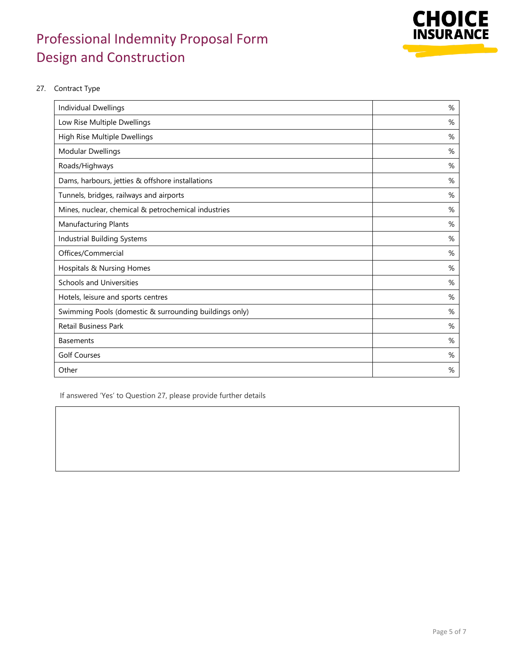

#### 27. Contract Type

| Individual Dwellings                                   | % |
|--------------------------------------------------------|---|
| Low Rise Multiple Dwellings                            | % |
| High Rise Multiple Dwellings                           | % |
| <b>Modular Dwellings</b>                               | % |
| Roads/Highways                                         | % |
| Dams, harbours, jetties & offshore installations       | % |
| Tunnels, bridges, railways and airports                | % |
| Mines, nuclear, chemical & petrochemical industries    | % |
| <b>Manufacturing Plants</b>                            | % |
| <b>Industrial Building Systems</b>                     | % |
| Offices/Commercial                                     | % |
| Hospitals & Nursing Homes                              | % |
| <b>Schools and Universities</b>                        | % |
| Hotels, leisure and sports centres                     | % |
| Swimming Pools (domestic & surrounding buildings only) | % |
| <b>Retail Business Park</b>                            | % |
| <b>Basements</b>                                       | % |
| <b>Golf Courses</b>                                    | % |
| Other                                                  | % |

If answered 'Yes' to Question 27, please provide further details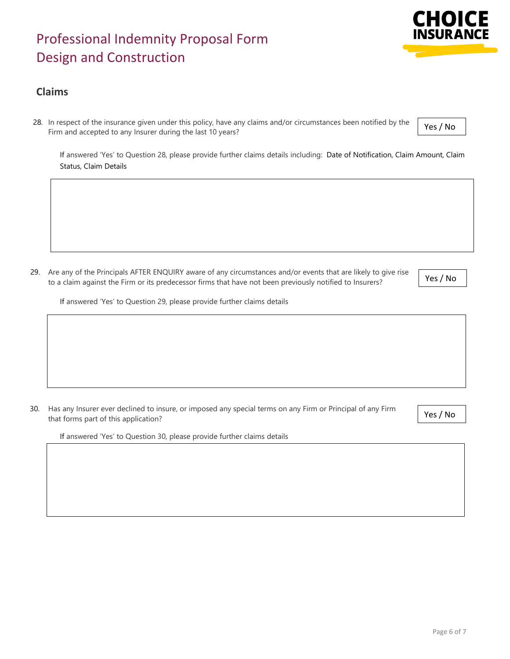### **Claims**

28. In respect of the insurance given under this policy, have any claims and/or circumstances been notified by the Firm and accepted to any Insurer during the last 10 years?

If answered 'Yes' to Question 28, please provide further claims details including: Date of Notification, Claim Amount, Claim Status, Claim Details

29. Are any of the Principals AFTER ENQUIRY aware of any circumstances and/or events that are likely to give rise to a claim against the Firm or its predecessor firms that have not been previously notified to Insurers?

If answered 'Yes' to Question 29, please provide further claims details

30. Has any Insurer ever declined to insure, or imposed any special terms on any Firm or Principal of any Firm that forms part of this application?

If answered 'Yes' to Question 30, please provide further claims details





Yes / No

Yes / No